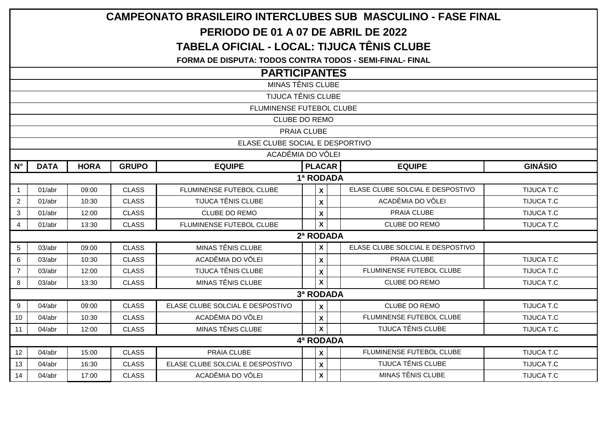| <b>CAMPEONATO BRASILEIRO INTERCLUBES SUB MASCULINO - FASE FINAL</b> |                   |             |              |                                  |           |                           |                                  |                   |  |  |  |  |  |  |
|---------------------------------------------------------------------|-------------------|-------------|--------------|----------------------------------|-----------|---------------------------|----------------------------------|-------------------|--|--|--|--|--|--|
| PERIODO DE 01 A 07 DE ABRIL DE 2022                                 |                   |             |              |                                  |           |                           |                                  |                   |  |  |  |  |  |  |
| <b>TABELA OFICIAL - LOCAL: TIJUCA TÊNIS CLUBE</b>                   |                   |             |              |                                  |           |                           |                                  |                   |  |  |  |  |  |  |
| <b>FORMA DE DISPUTA: TODOS CONTRA TODOS - SEMI-FINAL- FINAL</b>     |                   |             |              |                                  |           |                           |                                  |                   |  |  |  |  |  |  |
| <b>PARTICIPANTES</b>                                                |                   |             |              |                                  |           |                           |                                  |                   |  |  |  |  |  |  |
| <b>MINAS TÊNIS CLUBE</b>                                            |                   |             |              |                                  |           |                           |                                  |                   |  |  |  |  |  |  |
| TIJUCA TÊNIS CLUBE                                                  |                   |             |              |                                  |           |                           |                                  |                   |  |  |  |  |  |  |
| FLUMINENSE FUTEBOL CLUBE                                            |                   |             |              |                                  |           |                           |                                  |                   |  |  |  |  |  |  |
| CLUBE DO REMO                                                       |                   |             |              |                                  |           |                           |                                  |                   |  |  |  |  |  |  |
| PRAIA CLUBE                                                         |                   |             |              |                                  |           |                           |                                  |                   |  |  |  |  |  |  |
| ELASE CLUBE SOCIAL E DESPORTIVO                                     |                   |             |              |                                  |           |                           |                                  |                   |  |  |  |  |  |  |
|                                                                     | ACADÊMIA DO VÔLEI |             |              |                                  |           |                           |                                  |                   |  |  |  |  |  |  |
| $N^{\circ}$                                                         | <b>DATA</b>       | <b>HORA</b> | <b>GRUPO</b> | <b>EQUIPE</b>                    |           | <b>PLACAR</b>             | <b>EQUIPE</b>                    | <b>GINÁSIO</b>    |  |  |  |  |  |  |
|                                                                     | 1ª RODADA         |             |              |                                  |           |                           |                                  |                   |  |  |  |  |  |  |
| $\mathbf{1}$                                                        | 01/abr            | 09:00       | <b>CLASS</b> | <b>FLUMINENSE FUTEBOL CLUBE</b>  |           | $\mathsf{x}$              | ELASE CLUBE SOLCIAL E DESPOSTIVO | TIJUCA T.C        |  |  |  |  |  |  |
| $\overline{2}$                                                      | 01/abr            | 10:30       | <b>CLASS</b> | <b>TIJUCA TÊNIS CLUBE</b>        |           | $\mathsf{x}$              | ACADÊMIA DO VÔLEI                | <b>TIJUCA T.C</b> |  |  |  |  |  |  |
| 3                                                                   | 01/abr            | 12:00       | <b>CLASS</b> | CLUBE DO REMO                    |           | X                         | PRAIA CLUBE                      | TIJUCA T.C        |  |  |  |  |  |  |
| $\overline{4}$                                                      | 01/abr            | 13:30       | <b>CLASS</b> | FLUMINENSE FUTEBOL CLUBE         |           | $\boldsymbol{\mathsf{X}}$ | <b>CLUBE DO REMO</b>             | <b>TIJUCA T.C</b> |  |  |  |  |  |  |
|                                                                     |                   |             |              |                                  | 2ª RODADA |                           |                                  |                   |  |  |  |  |  |  |
| 5                                                                   | 03/abr            | 09:00       | <b>CLASS</b> | MINAS TÊNIS CLUBE                |           | $\mathbf{x}$              | ELASE CLUBE SOLCIAL E DESPOSTIVO |                   |  |  |  |  |  |  |
| $6\phantom{a}$                                                      | 03/abr            | 10:30       | <b>CLASS</b> | ACADÊMIA DO VÔLEI                |           | $\mathsf{x}$              | PRAIA CLUBE                      | TIJUCA T.C        |  |  |  |  |  |  |
| $\overline{7}$                                                      | 03/abr            | 12:00       | <b>CLASS</b> | <b>TIJUCA TÊNIS CLUBE</b>        |           | $\mathbf{x}$              | FLUMINENSE FUTEBOL CLUBE         | <b>TIJUCA T.C</b> |  |  |  |  |  |  |
| 8                                                                   | 03/abr            | 13:30       | <b>CLASS</b> | MINAS TÊNIS CLUBE                |           | $\mathbf{x}$              | <b>CLUBE DO REMO</b>             | <b>TIJUCA T.C</b> |  |  |  |  |  |  |
|                                                                     |                   |             |              |                                  | 3ª RODADA |                           |                                  |                   |  |  |  |  |  |  |
| 9                                                                   | 04/abr            | 09:00       | <b>CLASS</b> | ELASE CLUBE SOLCIAL E DESPOSTIVO |           | $\mathsf{x}$              | CLUBE DO REMO                    | TIJUCA T.C        |  |  |  |  |  |  |
| 10                                                                  | 04/abr            | 10:30       | <b>CLASS</b> | ACADÊMIA DO VÔLEI                |           | $\mathsf{x}$              | FLUMINENSE FUTEBOL CLUBE         | TIJUCA T.C        |  |  |  |  |  |  |
| 11                                                                  | 04/abr            | 12:00       | <b>CLASS</b> | MINAS TÊNIS CLUBE                |           | $\mathsf{x}$              | TIJUCA TÊNIS CLUBE               | <b>TIJUCA T.C</b> |  |  |  |  |  |  |
|                                                                     |                   |             |              |                                  | 4ª RODADA |                           |                                  |                   |  |  |  |  |  |  |
| 12                                                                  | 04/abr            | 15:00       | <b>CLASS</b> | PRAIA CLUBE                      |           | $\mathsf{x}$              | FLUMINENSE FUTEBOL CLUBE         | TIJUCA T.C        |  |  |  |  |  |  |
| 13                                                                  | 04/abr            | 16:30       | <b>CLASS</b> | ELASE CLUBE SOLCIAL E DESPOSTIVO |           | $\mathbf{x}$              | <b>TIJUCA TÊNIS CLUBE</b>        | TIJUCA T.C        |  |  |  |  |  |  |
| 14                                                                  | 04/abr            | 17:00       | <b>CLASS</b> | ACADÊMIA DO VÔLEI                |           | $\mathsf{x}$              | MINAS TÊNIS CLUBE                | <b>TIJUCA T.C</b> |  |  |  |  |  |  |